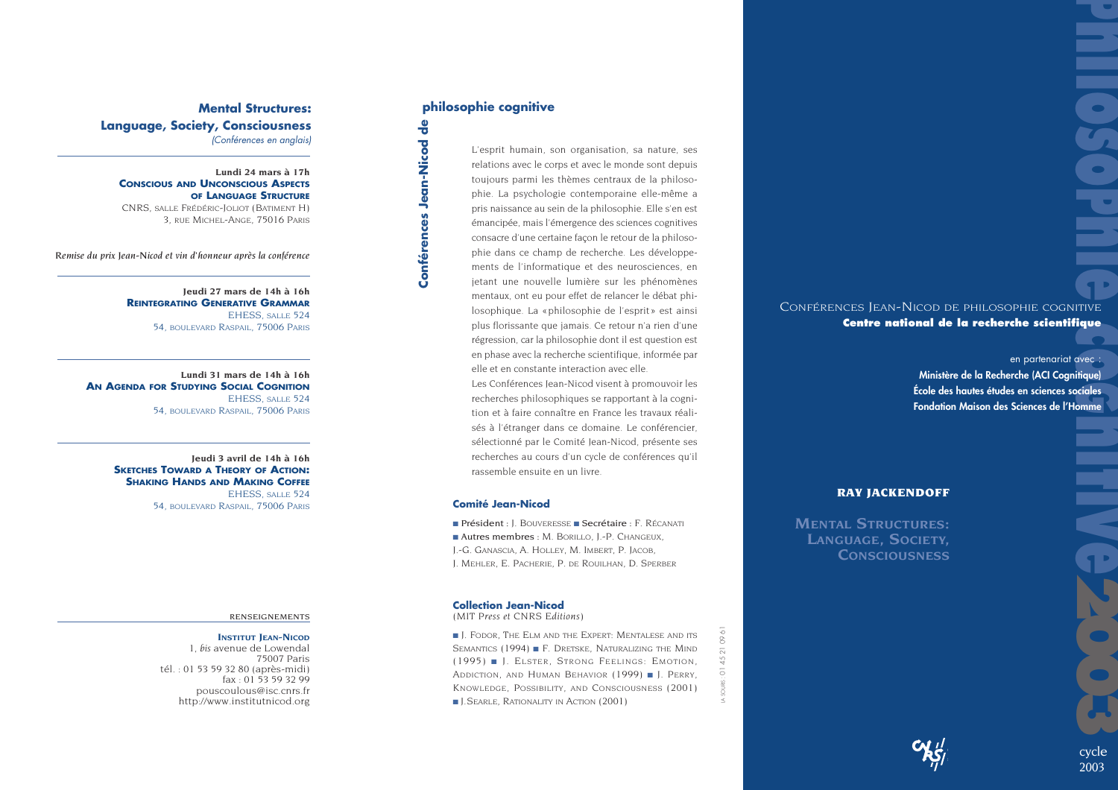**Mental Structures: Language, Society, Consciousness** *(Conférences en anglais)*

**Lundi 24 mars à 17h CONSCIOUS ANDUNCONSCIOUSASPECTS OF LANGUAGESTRUCTURE**CNRS, SALLE FRÉDÉRIC-JOLIOT (BATIMENT H) 3, RUE MICHEL-ANGE, 75016 PARIS

*Remise du prix Jean-Nicod et vin d'honneur après la conférence* 

**Jeudi 27 mars de 14h à 16h REINTEGRATINGGENERATIVEGRAMMAR** EHESS, SALLE 524 54, BOULEVARD RASPAIL, 75006 PARIS

**Lundi 31 mars de 14h à 16h ANAGENDA FORSTUDYINGSOCIALCOGNITION**EHESS, SALLE 524 54, BOULEVARD RASPAIL, 75006 PARIS

> **Jeudi 3 avril de 14h à 16h SKETCHES TOWARD <sup>A</sup> THEORY OF ACTION: SHAKINGHANDS ANDMAKINGCOFFEE** EHESS, SALLE 524 54, BOULEVARD RASPAIL, 75006 PARIS

### RENSEIGNEMENTS

### **INSTITUT JEAN-NICOD**

1, *bis* avenue de Lowendal 75007 Paris tél. : 01 53 59 32 80 (après-midi) fax : 01 53 59 32 99 pouscoulous@isc.cnrs.fr http://www.institutnicod.org

## **philosophie cognitive**

**Conférences Jean-Nicod de**

Conférences Jean-Nicod de

L'esprit humain, son organisation, sa nature, ses relations avec le corps et avec le monde sont depuis toujours parmi les thèmes centraux de la philosophie. La psychologie contemporaine elle-même a pris naissance au sein de la philosophie. Elle s'en est émancipée, mais l'émergence des sciences cognitives consacre d'une certaine façon le retour de la philosophie dans ce champ de recherche. Les développements de l'informatique et des neurosciences, en jetant une nouvelle lumière sur les phénomènes mentaux, ont eu pour effet de relancer le débat philosophique. La «philosophie de l'esprit» est ainsi plus florissante que jamais. Ce retour n'a rien d'une régression, car la philosophie dont il est question est en phase avec la recherche scientifique, informée par elle et en constante interaction avec elle.Les Conférences Jean-Nicod visent à promouvoir les recherches philosophiques se rapportant à la cognition et à faire connaître en France les travaux réalisés à l'étranger dans ce domaine. Le conférencier, sélectionné par le Comité Jean-Nicod, présente ses

recherches au cours d'un cycle de conférences qu'il rassemble ensuite en un livre.

### **Comité Jean-Nicod**

■ Président : J. BOUVERESSE ■ Secrétaire : F. RÉCANATI ■ Autres membres : M. BORILLO, J.-P. CHANGEUX, J.-G. GANASCIA, A. HOLLEY, M. IMBERT, P. JACOB, J. MEHLER, E. PACHERIE, P. DE ROUILHAN, D. SPERBER

### **Collection Jean-Nicod**

*(MIT Press et CNRS Editions)*

■ J. FODOR, *THE ELM AND THE EXPERT: MENTALESE AND ITS SEMANTICS* (1994) ■ F. DRETSKE, *NATURALIZING THE MIND*(1995) ■ J. ELSTER, *STRONG FEELINGS: EMOTION, ADDICTION, AND HUMAN BEHAVIOR* (1999) ■ J. PERRY, *KNOWLEDGE, POSSIBILITY, AND CONSCIOUSNESS* (2001) ■ J.SEARLE, *RATIONALITY IN ACTION* (2001)

# CONFÉRENCES JEAN-NICOD DE PHILOSOPHIE COGNITIVE **Centre national de la recherche scientifique**

**Philosophie control of the Control of the Control of the Control of the Control of the Control of the Control of the Control of the Control of the Control of the Control of the Control of the Control of the Control of the** en partenariat avec : **Ministère de la Recherche (ACI Cognitique) École des hautes études en sciences socialesFondation Maison des Sciences de l'Homme**

### **RAY JACKENDOFF**

**MENTALSTRUCTURES:LANGUAGE, SOCIETY, CONSCIOUSNESS**